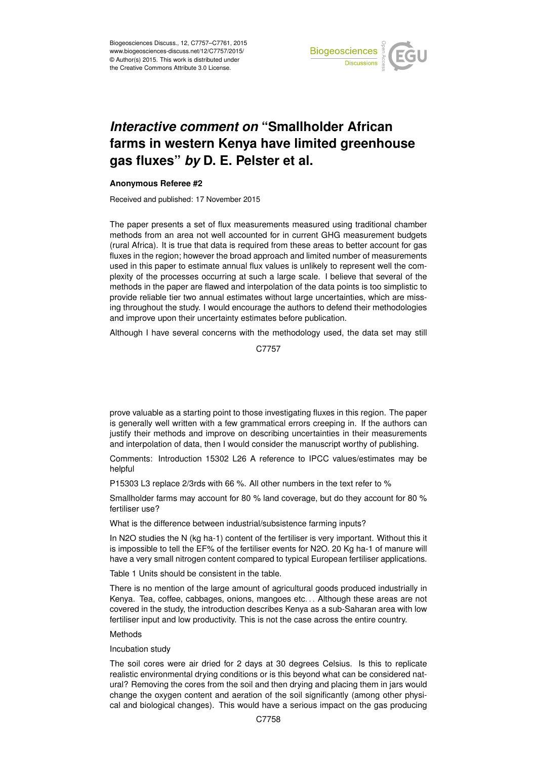

# *Interactive comment on* **"Smallholder African farms in western Kenya have limited greenhouse gas fluxes"** *by* **D. E. Pelster et al.**

## **Anonymous Referee #2**

Received and published: 17 November 2015

The paper presents a set of flux measurements measured using traditional chamber methods from an area not well accounted for in current GHG measurement budgets (rural Africa). It is true that data is required from these areas to better account for gas fluxes in the region; however the broad approach and limited number of measurements used in this paper to estimate annual flux values is unlikely to represent well the complexity of the processes occurring at such a large scale. I believe that several of the methods in the paper are flawed and interpolation of the data points is too simplistic to provide reliable tier two annual estimates without large uncertainties, which are missing throughout the study. I would encourage the authors to defend their methodologies and improve upon their uncertainty estimates before publication.

Although I have several concerns with the methodology used, the data set may still

C7757

prove valuable as a starting point to those investigating fluxes in this region. The paper is generally well written with a few grammatical errors creeping in. If the authors can justify their methods and improve on describing uncertainties in their measurements and interpolation of data, then I would consider the manuscript worthy of publishing.

Comments: Introduction 15302 L26 A reference to IPCC values/estimates may be helpful

P15303 L3 replace 2/3rds with 66 %. All other numbers in the text refer to %

Smallholder farms may account for 80 % land coverage, but do they account for 80 % fertiliser use?

What is the difference between industrial/subsistence farming inputs?

In N2O studies the N (kg ha-1) content of the fertiliser is very important. Without this it is impossible to tell the EF% of the fertiliser events for N2O. 20 Kg ha-1 of manure will have a very small nitrogen content compared to typical European fertiliser applications.

Table 1 Units should be consistent in the table.

There is no mention of the large amount of agricultural goods produced industrially in Kenya. Tea, coffee, cabbages, onions, mangoes etc. . . Although these areas are not covered in the study, the introduction describes Kenya as a sub-Saharan area with low fertiliser input and low productivity. This is not the case across the entire country.

## Methods

## Incubation study

The soil cores were air dried for 2 days at 30 degrees Celsius. Is this to replicate realistic environmental drying conditions or is this beyond what can be considered natural? Removing the cores from the soil and then drying and placing them in jars would change the oxygen content and aeration of the soil significantly (among other physical and biological changes). This would have a serious impact on the gas producing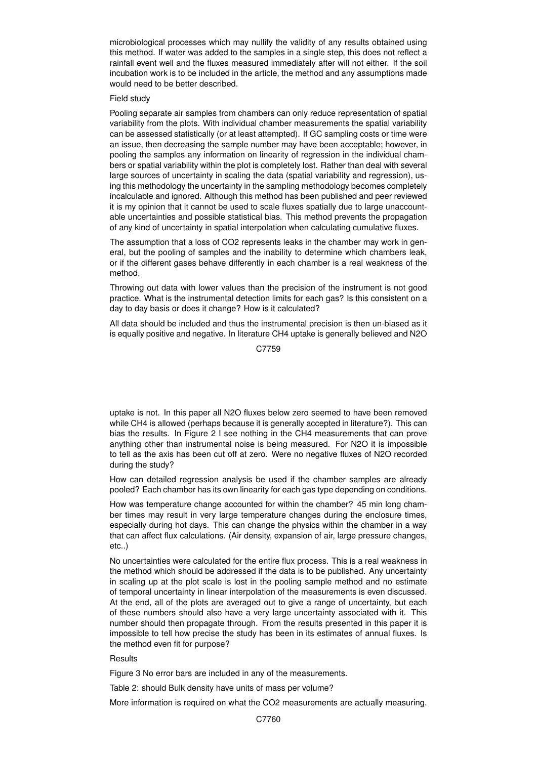microbiological processes which may nullify the validity of any results obtained using this method. If water was added to the samples in a single step, this does not reflect a rainfall event well and the fluxes measured immediately after will not either. If the soil incubation work is to be included in the article, the method and any assumptions made would need to be better described.

#### Field study

Pooling separate air samples from chambers can only reduce representation of spatial variability from the plots. With individual chamber measurements the spatial variability can be assessed statistically (or at least attempted). If GC sampling costs or time were an issue, then decreasing the sample number may have been acceptable; however, in pooling the samples any information on linearity of regression in the individual chambers or spatial variability within the plot is completely lost. Rather than deal with several large sources of uncertainty in scaling the data (spatial variability and regression), using this methodology the uncertainty in the sampling methodology becomes completely incalculable and ignored. Although this method has been published and peer reviewed it is my opinion that it cannot be used to scale fluxes spatially due to large unaccountable uncertainties and possible statistical bias. This method prevents the propagation of any kind of uncertainty in spatial interpolation when calculating cumulative fluxes.

The assumption that a loss of CO2 represents leaks in the chamber may work in general, but the pooling of samples and the inability to determine which chambers leak, or if the different gases behave differently in each chamber is a real weakness of the method.

Throwing out data with lower values than the precision of the instrument is not good practice. What is the instrumental detection limits for each gas? Is this consistent on a day to day basis or does it change? How is it calculated?

All data should be included and thus the instrumental precision is then un-biased as it is equally positive and negative. In literature CH4 uptake is generally believed and N2O

#### C7759

uptake is not. In this paper all N2O fluxes below zero seemed to have been removed while CH4 is allowed (perhaps because it is generally accepted in literature?). This can bias the results. In Figure 2 I see nothing in the CH4 measurements that can prove anything other than instrumental noise is being measured. For N2O it is impossible to tell as the axis has been cut off at zero. Were no negative fluxes of N2O recorded during the study?

How can detailed regression analysis be used if the chamber samples are already pooled? Each chamber has its own linearity for each gas type depending on conditions.

How was temperature change accounted for within the chamber? 45 min long chamber times may result in very large temperature changes during the enclosure times, especially during hot days. This can change the physics within the chamber in a way that can affect flux calculations. (Air density, expansion of air, large pressure changes, etc..)

No uncertainties were calculated for the entire flux process. This is a real weakness in the method which should be addressed if the data is to be published. Any uncertainty in scaling up at the plot scale is lost in the pooling sample method and no estimate of temporal uncertainty in linear interpolation of the measurements is even discussed. At the end, all of the plots are averaged out to give a range of uncertainty, but each of these numbers should also have a very large uncertainty associated with it. This number should then propagate through. From the results presented in this paper it is impossible to tell how precise the study has been in its estimates of annual fluxes. Is the method even fit for purpose?

### **Results**

Figure 3 No error bars are included in any of the measurements.

Table 2: should Bulk density have units of mass per volume?

More information is required on what the CO2 measurements are actually measuring.